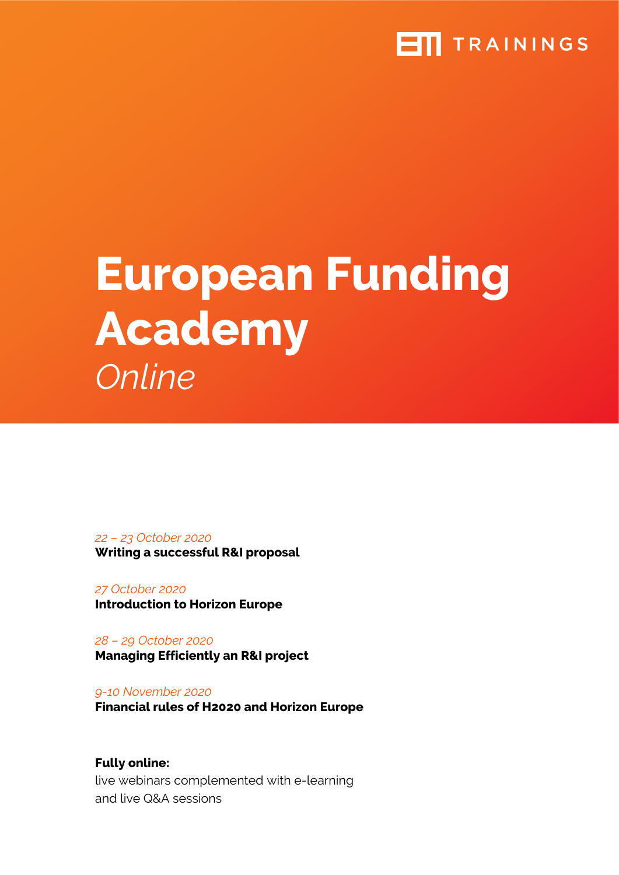### **ETT** TRAININGS

# **European Funding Academy**  *Online*

*22 – 23 October 2020*  **Writing a successful R&I proposal** 

*27 October 2020*  **Introduction to Horizon Europe** 

*28 – 29 October 2020*  **Managing Efficiently an R&I project** 

*9-10 November 2020* **Financial rules of H2020 and Horizon Europe**

**Fully online:**  live webinars complemented with e-learning and live Q&A sessions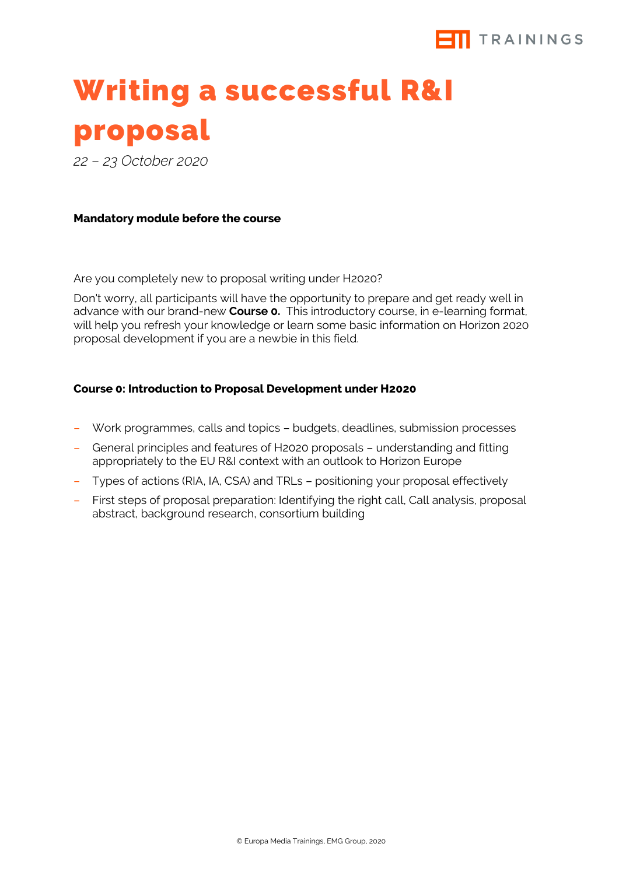

## Writing a successful R&I proposal

*22 – 23 October 2020*

#### **Mandatory module before the course**

Are you completely new to proposal writing under H2020?

Don't worry, all participants will have the opportunity to prepare and get ready well in advance with our brand-new **Course 0.** This introductory course, in e-learning format, will help you refresh your knowledge or learn some basic information on Horizon 2020 proposal development if you are a newbie in this field.

#### **Course 0: Introduction to Proposal Development under H2020**

- Work programmes, calls and topics budgets, deadlines, submission processes
- General principles and features of H2020 proposals understanding and fitting appropriately to the EU R&I context with an outlook to Horizon Europe
- Types of actions (RIA, IA, CSA) and TRLs positioning your proposal effectively
- First steps of proposal preparation: Identifying the right call, Call analysis, proposal abstract, background research, consortium building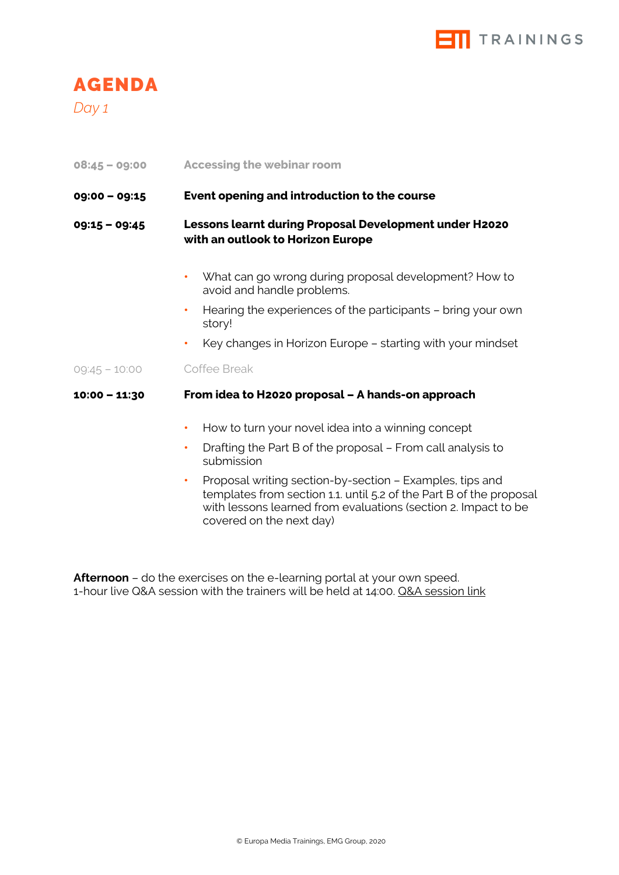

*Day 1*

| $08:45 - 09:00$ | <b>Accessing the webinar room</b> |  |  |
|-----------------|-----------------------------------|--|--|
|                 |                                   |  |  |

#### **09:00 – 09:15 Event opening and introduction to the course**

#### **09:15 – 09:45 Lessons learnt during Proposal Development under H2020 with an outlook to Horizon Europe**

- **•** What can go wrong during proposal development? How to avoid and handle problems.
- **•** Hearing the experiences of the participants bring your own story!
- **•** Key changes in Horizon Europe starting with your mindset

#### 09:45 – 10:00 Coffee Break

#### **10:00 – 11:30 From idea to H2020 proposal – A hands-on approach**

- **•** How to turn your novel idea into a winning concept
- **•** Drafting the Part B of the proposal From call analysis to submission
- **•** Proposal writing section-by-section Examples, tips and templates from section 1.1. until 5.2 of the Part B of the proposal with lessons learned from evaluations (section 2. Impact to be covered on the next day)

**Afternoon** – do the exercises on the e-learning portal at your own speed. 1-hour live Q&A session with the trainers will be held at 14:00. Q&A session link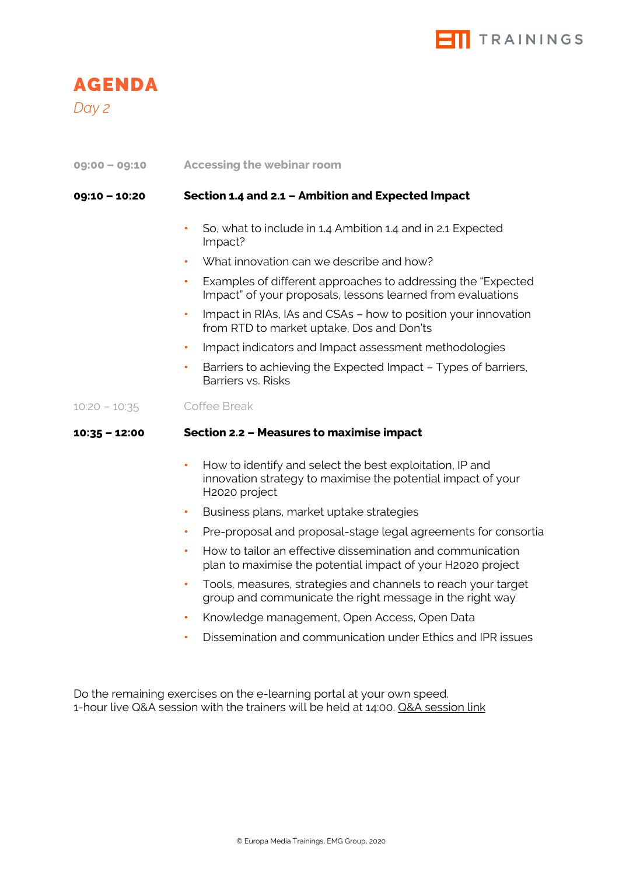

*Day 2*

**09:00 – 09:10 Accessing the webinar room**

#### **09:10 – 10:20 Section 1.4 and 2.1 – Ambition and Expected Impact**

- **•** So, what to include in 1.4 Ambition 1.4 and in 2.1 Expected Impact?
- **•** What innovation can we describe and how?
- **•** Examples of different approaches to addressing the "Expected Impact" of your proposals, lessons learned from evaluations
- **•** Impact in RIAs, IAs and CSAs how to position your innovation from RTD to market uptake, Dos and Don'ts
- **•** Impact indicators and Impact assessment methodologies
- **•** Barriers to achieving the Expected Impact Types of barriers, Barriers vs. Risks

10:20 – 10:35 Coffee Break

#### **10:35 – 12:00 Section 2.2 – Measures to maximise impact**

- **•** How to identify and select the best exploitation, IP and innovation strategy to maximise the potential impact of your H2020 project
- **•** Business plans, market uptake strategies
- **•** Pre-proposal and proposal-stage legal agreements for consortia
- **•** How to tailor an effective dissemination and communication plan to maximise the potential impact of your H2020 project
- **•** Tools, measures, strategies and channels to reach your target group and communicate the right message in the right way
- **•** Knowledge management, Open Access, Open Data
- **•** Dissemination and communication under Ethics and IPR issues

Do the remaining exercises on the e-learning portal at your own speed. 1-hour live Q&A session with the trainers will be held at 14:00. Q&A session link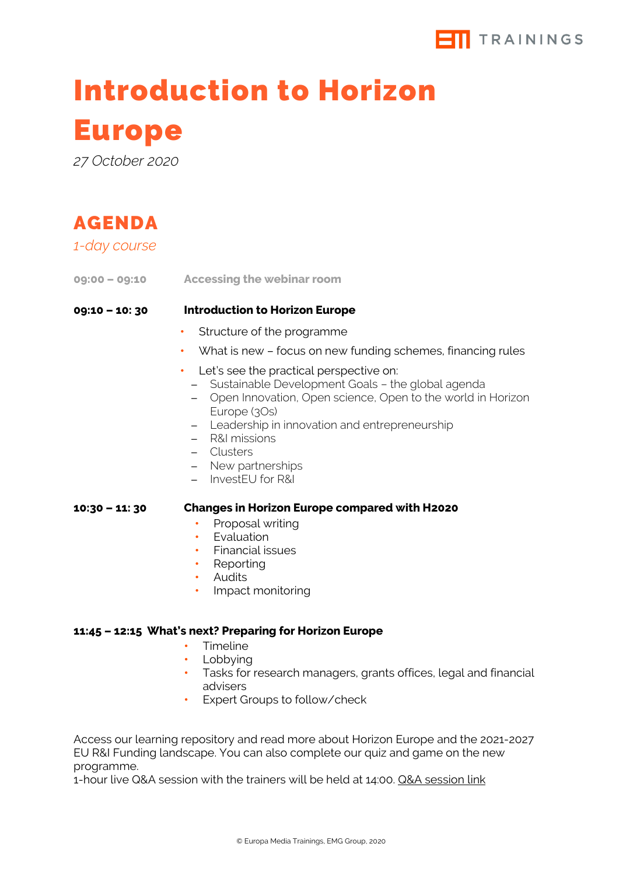

### Introduction to Horizon

### Europe

*27 October 2020*

| AGENDA         |                                                                                                                                                                                                                                                                                                                     |
|----------------|---------------------------------------------------------------------------------------------------------------------------------------------------------------------------------------------------------------------------------------------------------------------------------------------------------------------|
| 1-day course   |                                                                                                                                                                                                                                                                                                                     |
|                | 09:00 - 09:10 Accessing the webinar room                                                                                                                                                                                                                                                                            |
| 09:10 - 10: 30 | <b>Introduction to Horizon Europe</b>                                                                                                                                                                                                                                                                               |
|                | Structure of the programme<br>۰                                                                                                                                                                                                                                                                                     |
|                | What is new - focus on new funding schemes, financing rules<br>٠                                                                                                                                                                                                                                                    |
|                | Let's see the practical perspective on:<br>٠<br>- Sustainable Development Goals - the global agenda<br>- Open Innovation, Open science, Open to the world in Horizon<br>Europe (3Os)<br>- Leadership in innovation and entrepreneurship<br>- R&I missions<br>- Clusters<br>- New partnerships<br>- InvestEU for R&I |
| 10:30 – 11: 30 | <b>Changes in Horizon Europe compared with H2020</b><br>Proposal writing<br>Evaluation<br>$\bullet$<br>Financial issues<br>Reporting<br>٠<br>Audits<br>$\bullet$<br>Impact monitoring<br>٠                                                                                                                          |

#### **11:45 – 12:15 What's next? Preparing for Horizon Europe**

- **•** Timeline
- **•** Lobbying
- **•** Tasks for research managers, grants offices, legal and financial advisers
- **•** Expert Groups to follow/check

Access our learning repository and read more about Horizon Europe and the 2021-2027 EU R&I Funding landscape. You can also complete our quiz and game on the new programme.

1-hour live Q&A session with the trainers will be held at 14:00. Q&A session link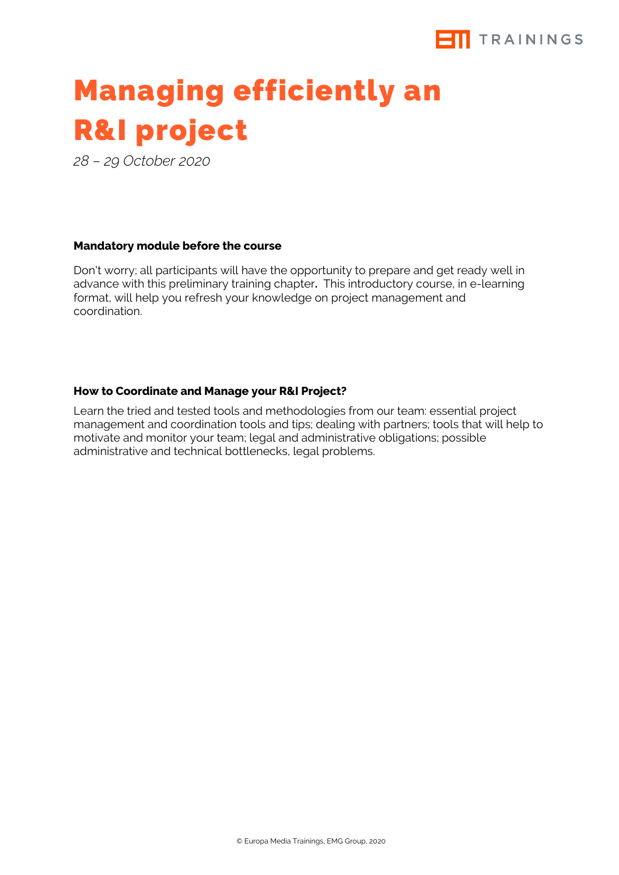

### Managing efficiently an R&I project

*28 – 29 October 2020* 

#### **Mandatory module before the course**

Don't worry; all participants will have the opportunity to prepare and get ready well in advance with this preliminary training chapter**.** This introductory course, in e-learning format, will help you refresh your knowledge on project management and coordination.

#### **How to Coordinate and Manage your R&I Project?**

Learn the tried and tested tools and methodologies from our team: essential project management and coordination tools and tips; dealing with partners; tools that will help to motivate and monitor your team; legal and administrative obligations; possible administrative and technical bottlenecks, legal problems.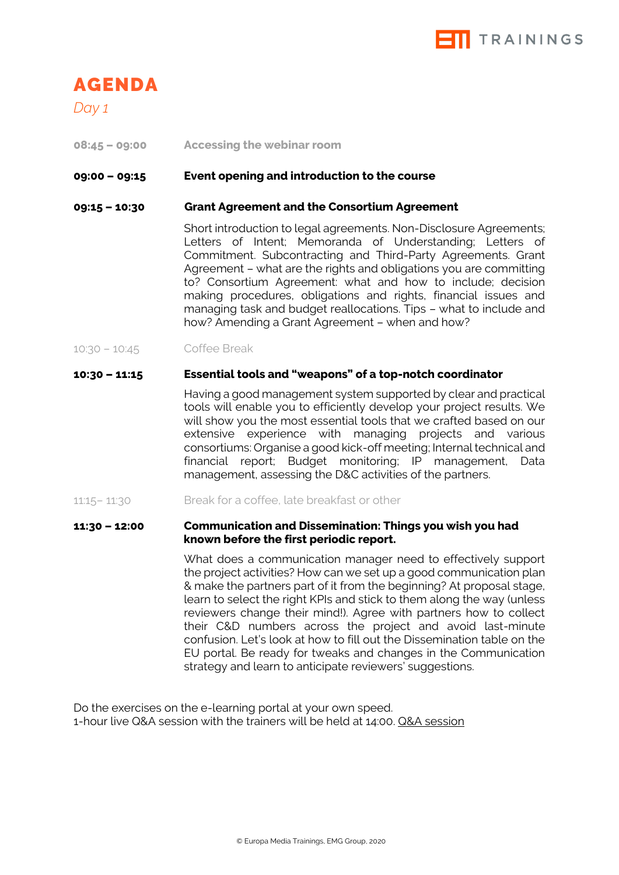

*Day 1*

**08:45 – 09:00 Accessing the webinar room**

#### **09:00 – 09:15 Event opening and introduction to the course**

#### **09:15 – 10:30 Grant Agreement and the Consortium Agreement**

Short introduction to legal agreements. Non-Disclosure Agreements; Letters of Intent; Memoranda of Understanding; Letters of Commitment. Subcontracting and Third-Party Agreements. Grant Agreement – what are the rights and obligations you are committing to? Consortium Agreement: what and how to include; decision making procedures, obligations and rights, financial issues and managing task and budget reallocations. Tips – what to include and how? Amending a Grant Agreement – when and how?

10:30 – 10:45 Coffee Break

#### **10:30 – 11:15 Essential tools and "weapons" of a top-notch coordinator**

Having a good management system supported by clear and practical tools will enable you to efficiently develop your project results. We will show you the most essential tools that we crafted based on our extensive experience with managing projects and various consortiums: Organise a good kick-off meeting; Internal technical and financial report; Budget monitoring; IP management, Data management, assessing the D&C activities of the partners.

11:15– 11:30 Break for a coffee, late breakfast or other

#### **11:30 – 12:00 Communication and Dissemination: Things you wish you had known before the first periodic report.**

What does a communication manager need to effectively support the project activities? How can we set up a good communication plan & make the partners part of it from the beginning? At proposal stage, learn to select the right KPIs and stick to them along the way (unless reviewers change their mind!). Agree with partners how to collect their C&D numbers across the project and avoid last-minute confusion. Let's look at how to fill out the Dissemination table on the EU portal. Be ready for tweaks and changes in the Communication strategy and learn to anticipate reviewers' suggestions.

Do the exercises on the e-learning portal at your own speed. 1-hour live Q&A session with the trainers will be held at 14:00. Q&A session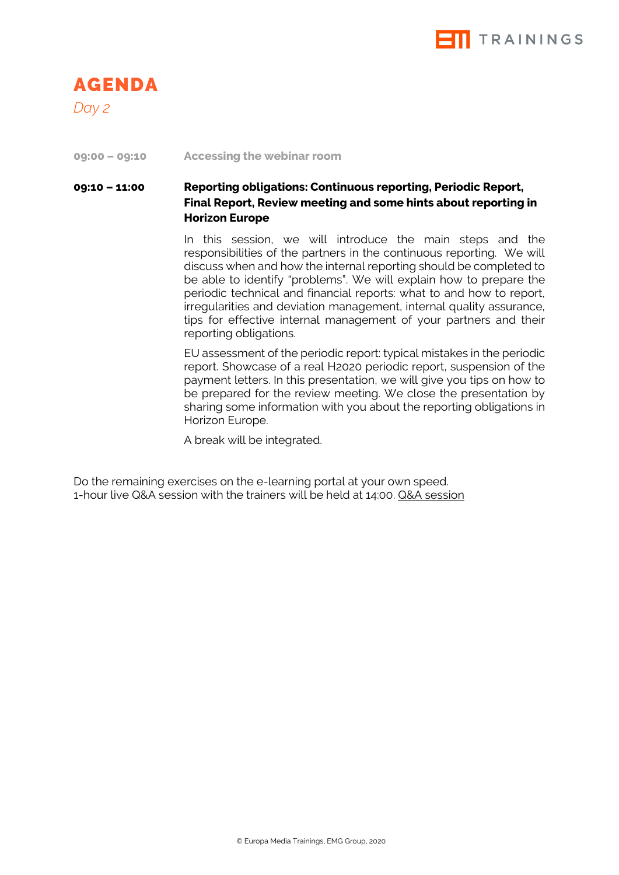

*Day 2*

#### **09:00 – 09:10 Accessing the webinar room**

#### **09:10 – 11:00 Reporting obligations: Continuous reporting, Periodic Report, Final Report, Review meeting and some hints about reporting in Horizon Europe**

In this session, we will introduce the main steps and the responsibilities of the partners in the continuous reporting. We will discuss when and how the internal reporting should be completed to be able to identify "problems". We will explain how to prepare the periodic technical and financial reports: what to and how to report, irregularities and deviation management, internal quality assurance, tips for effective internal management of your partners and their reporting obligations.

EU assessment of the periodic report: typical mistakes in the periodic report. Showcase of a real H2020 periodic report, suspension of the payment letters. In this presentation, we will give you tips on how to be prepared for the review meeting. We close the presentation by sharing some information with you about the reporting obligations in Horizon Europe.

A break will be integrated.

Do the remaining exercises on the e-learning portal at your own speed. 1-hour live Q&A session with the trainers will be held at 14:00. Q&A session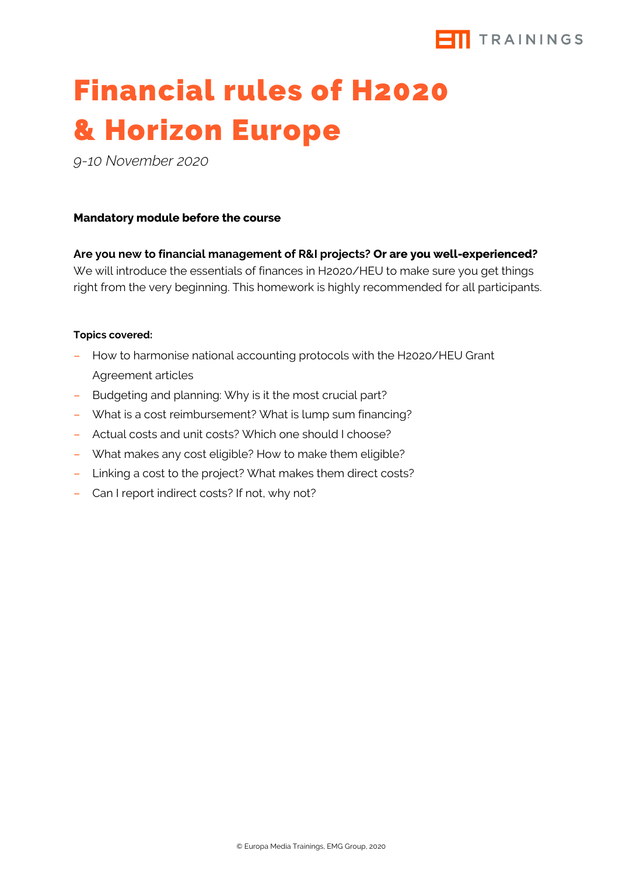

## Financial rules of H2020 & Horizon Europe

*9-10 November 2020*

#### **Mandatory module before the course**

**Are you new to financial management of R&I projects? Or are you well-experienced?** We will introduce the essentials of finances in H2020/HEU to make sure you get things right from the very beginning. This homework is highly recommended for all participants.

#### **Topics covered:**

- How to harmonise national accounting protocols with the H2020/HEU Grant Agreement articles
- Budgeting and planning: Why is it the most crucial part?
- What is a cost reimbursement? What is lump sum financing?
- Actual costs and unit costs? Which one should I choose?
- What makes any cost eligible? How to make them eligible?
- Linking a cost to the project? What makes them direct costs?
- Can I report indirect costs? If not, why not?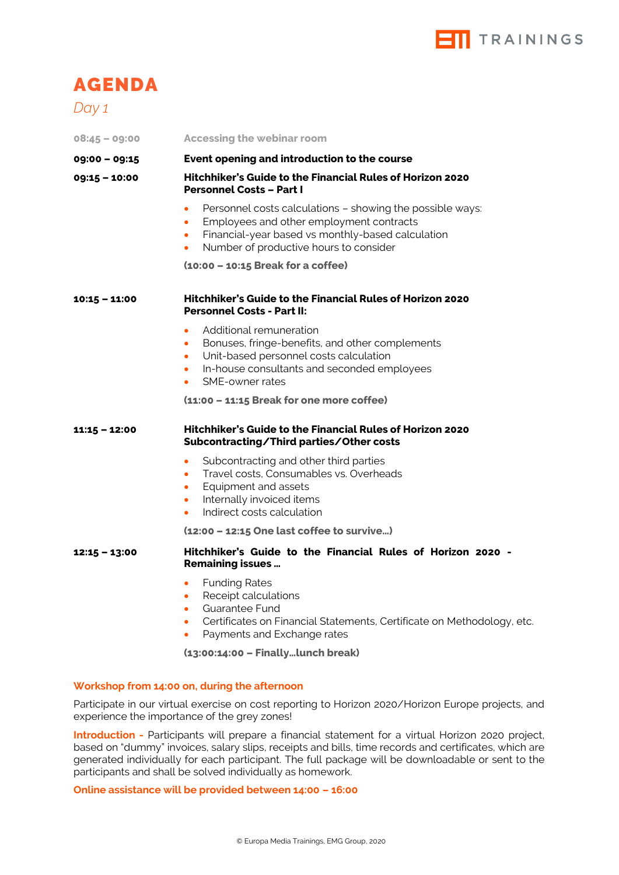

*Day 1*

| $08:45 - 09:00$ | <b>Accessing the webinar room</b>                                                                                                                                                                                                                        |
|-----------------|----------------------------------------------------------------------------------------------------------------------------------------------------------------------------------------------------------------------------------------------------------|
| $09:00 - 09:15$ | Event opening and introduction to the course                                                                                                                                                                                                             |
| $09:15 - 10:00$ | Hitchhiker's Guide to the Financial Rules of Horizon 2020<br><b>Personnel Costs - Part I</b>                                                                                                                                                             |
|                 | Personnel costs calculations - showing the possible ways:<br>$\bullet$<br>Employees and other employment contracts<br>$\bullet$<br>Financial-year based vs monthly-based calculation<br>$\bullet$<br>Number of productive hours to consider<br>$\bullet$ |
|                 | (10:00 - 10:15 Break for a coffee)                                                                                                                                                                                                                       |
| $10:15 - 11:00$ | <b>Hitchhiker's Guide to the Financial Rules of Horizon 2020</b><br><b>Personnel Costs - Part II:</b>                                                                                                                                                    |
|                 | Additional remuneration<br>$\bullet$<br>Bonuses, fringe-benefits, and other complements<br>٠<br>Unit-based personnel costs calculation<br>$\bullet$<br>In-house consultants and seconded employees<br>$\bullet$<br>SME-owner rates<br>$\bullet$          |
|                 | (11:00 - 11:15 Break for one more coffee)                                                                                                                                                                                                                |
| $11:15 - 12:00$ | <b>Hitchhiker's Guide to the Financial Rules of Horizon 2020</b><br>Subcontracting/Third parties/Other costs                                                                                                                                             |
|                 | Subcontracting and other third parties<br>$\bullet$<br>Travel costs, Consumables vs. Overheads<br>$\bullet$<br>Equipment and assets<br>٠<br>Internally invoiced items<br>$\bullet$<br>Indirect costs calculation<br>$\bullet$                            |
|                 | (12:00 - 12:15 One last coffee to survive)                                                                                                                                                                                                               |
| $12:15 - 13:00$ | Hitchhiker's Guide to the Financial Rules of Horizon 2020 -<br><b>Remaining issues </b>                                                                                                                                                                  |
|                 | <b>Funding Rates</b><br>$\bullet$<br>Receipt calculations<br><b>Guarantee Fund</b><br>$\bullet$<br>Certificates on Financial Statements, Certificate on Methodology, etc.<br>Payments and Exchange rates<br>$\bullet$                                    |
|                 | (13:00:14:00 - Finallylunch break)                                                                                                                                                                                                                       |
|                 | Workshop from 14:00 on, during the afternoon                                                                                                                                                                                                             |

Participate in our virtual exercise on cost reporting to Horizon 2020/Horizon Europe projects, and experience the importance of the grey zones!

**Introduction -** Participants will prepare a financial statement for a virtual Horizon 2020 project, based on "dummy" invoices, salary slips, receipts and bills, time records and certificates, which are generated individually for each participant. The full package will be downloadable or sent to the participants and shall be solved individually as homework.

**Online assistance will be provided between 14:00 – 16:00**